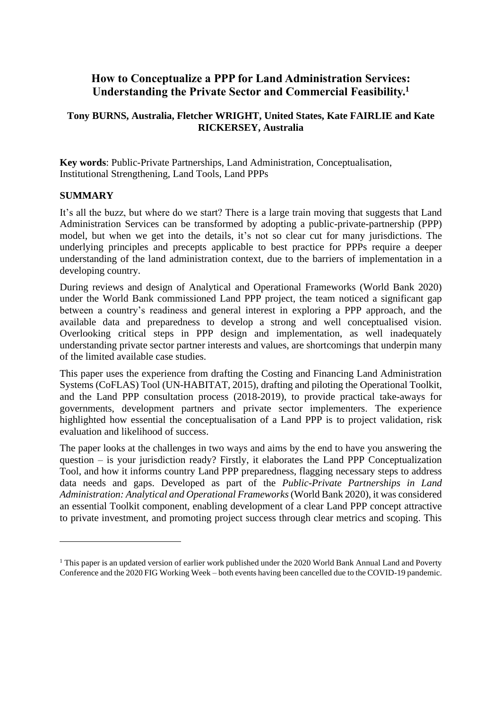# **How to Conceptualize a PPP for Land Administration Services: Understanding the Private Sector and Commercial Feasibility.<sup>1</sup>**

### **Tony BURNS, Australia, Fletcher WRIGHT, United States, Kate FAIRLIE and Kate RICKERSEY, Australia**

**Key words**: Public-Private Partnerships, Land Administration, Conceptualisation, Institutional Strengthening, Land Tools, Land PPPs

#### **SUMMARY**

It's all the buzz, but where do we start? There is a large train moving that suggests that Land Administration Services can be transformed by adopting a public-private-partnership (PPP) model, but when we get into the details, it's not so clear cut for many jurisdictions. The underlying principles and precepts applicable to best practice for PPPs require a deeper understanding of the land administration context, due to the barriers of implementation in a developing country.

During reviews and design of Analytical and Operational Frameworks (World Bank 2020) under the World Bank commissioned Land PPP project, the team noticed a significant gap between a country's readiness and general interest in exploring a PPP approach, and the available data and preparedness to develop a strong and well conceptualised vision. Overlooking critical steps in PPP design and implementation, as well inadequately understanding private sector partner interests and values, are shortcomings that underpin many of the limited available case studies.

This paper uses the experience from drafting the Costing and Financing Land Administration Systems (CoFLAS) Tool (UN-HABITAT, 2015), drafting and piloting the Operational Toolkit, and the Land PPP consultation process (2018-2019), to provide practical take-aways for governments, development partners and private sector implementers. The experience highlighted how essential the conceptualisation of a Land PPP is to project validation, risk evaluation and likelihood of success.

The paper looks at the challenges in two ways and aims by the end to have you answering the question – is your jurisdiction ready? Firstly, it elaborates the Land PPP Conceptualization Tool, and how it informs country Land PPP preparedness, flagging necessary steps to address data needs and gaps. Developed as part of the *Public-Private Partnerships in Land Administration: Analytical and Operational Frameworks*(World Bank 2020), it was considered an essential Toolkit component, enabling development of a clear Land PPP concept attractive to private investment, and promoting project success through clear metrics and scoping. This

<sup>&</sup>lt;sup>1</sup> This paper is an updated version of earlier work published under the 2020 World Bank Annual Land and Poverty Conference and the 2020 FIG Working Week – both events having been cancelled due to the COVID-19 pandemic.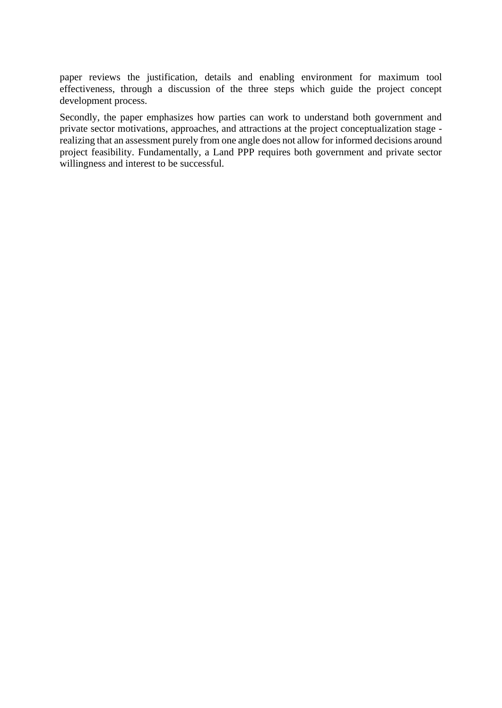paper reviews the justification, details and enabling environment for maximum tool effectiveness, through a discussion of the three steps which guide the project concept development process.

Secondly, the paper emphasizes how parties can work to understand both government and private sector motivations, approaches, and attractions at the project conceptualization stage realizing that an assessment purely from one angle does not allow for informed decisions around project feasibility. Fundamentally, a Land PPP requires both government and private sector willingness and interest to be successful.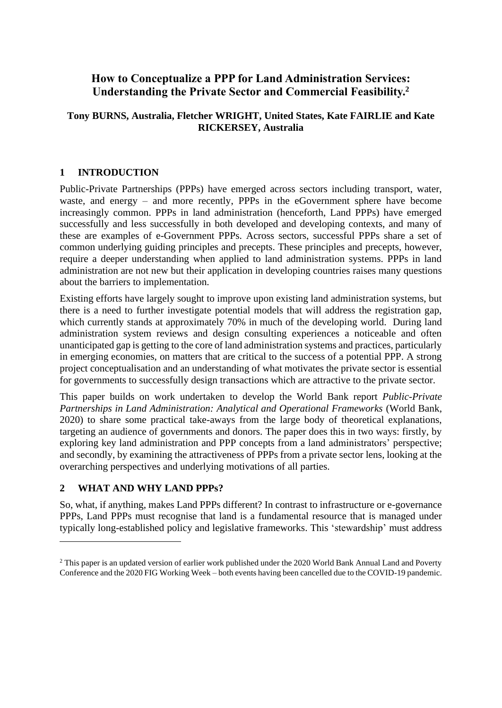# **How to Conceptualize a PPP for Land Administration Services: Understanding the Private Sector and Commercial Feasibility.<sup>2</sup>**

# **Tony BURNS, Australia, Fletcher WRIGHT, United States, Kate FAIRLIE and Kate RICKERSEY, Australia**

# **1 INTRODUCTION**

Public-Private Partnerships (PPPs) have emerged across sectors including transport, water, waste, and energy – and more recently, PPPs in the eGovernment sphere have become increasingly common. PPPs in land administration (henceforth, Land PPPs) have emerged successfully and less successfully in both developed and developing contexts, and many of these are examples of e-Government PPPs. Across sectors, successful PPPs share a set of common underlying guiding principles and precepts. These principles and precepts, however, require a deeper understanding when applied to land administration systems. PPPs in land administration are not new but their application in developing countries raises many questions about the barriers to implementation.

Existing efforts have largely sought to improve upon existing land administration systems, but there is a need to further investigate potential models that will address the registration gap, which currently stands at approximately 70% in much of the developing world. During land administration system reviews and design consulting experiences a noticeable and often unanticipated gap is getting to the core of land administration systems and practices, particularly in emerging economies, on matters that are critical to the success of a potential PPP. A strong project conceptualisation and an understanding of what motivates the private sector is essential for governments to successfully design transactions which are attractive to the private sector.

This paper builds on work undertaken to develop the World Bank report *Public-Private Partnerships in Land Administration: Analytical and Operational Frameworks* (World Bank, 2020) to share some practical take-aways from the large body of theoretical explanations, targeting an audience of governments and donors. The paper does this in two ways: firstly, by exploring key land administration and PPP concepts from a land administrators' perspective; and secondly, by examining the attractiveness of PPPs from a private sector lens, looking at the overarching perspectives and underlying motivations of all parties.

# **2 WHAT AND WHY LAND PPPs?**

So, what, if anything, makes Land PPPs different? In contrast to infrastructure or e-governance PPPs, Land PPPs must recognise that land is a fundamental resource that is managed under typically long-established policy and legislative frameworks. This 'stewardship' must address

<sup>&</sup>lt;sup>2</sup> This paper is an updated version of earlier work published under the 2020 World Bank Annual Land and Poverty Conference and the 2020 FIG Working Week – both events having been cancelled due to the COVID-19 pandemic.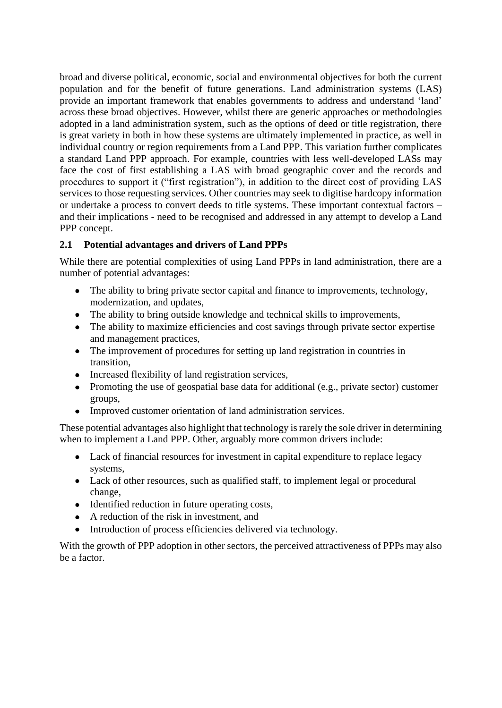broad and diverse political, economic, social and environmental objectives for both the current population and for the benefit of future generations. Land administration systems (LAS) provide an important framework that enables governments to address and understand 'land' across these broad objectives. However, whilst there are generic approaches or methodologies adopted in a land administration system, such as the options of deed or title registration, there is great variety in both in how these systems are ultimately implemented in practice, as well in individual country or region requirements from a Land PPP. This variation further complicates a standard Land PPP approach. For example, countries with less well-developed LASs may face the cost of first establishing a LAS with broad geographic cover and the records and procedures to support it ("first registration"), in addition to the direct cost of providing LAS services to those requesting services. Other countries may seek to digitise hardcopy information or undertake a process to convert deeds to title systems. These important contextual factors – and their implications - need to be recognised and addressed in any attempt to develop a Land PPP concept.

# **2.1 Potential advantages and drivers of Land PPPs**

While there are potential complexities of using Land PPPs in land administration, there are a number of potential advantages:

- The ability to bring private sector capital and finance to improvements, technology, modernization, and updates,
- The ability to bring outside knowledge and technical skills to improvements,
- The ability to maximize efficiencies and cost savings through private sector expertise and management practices,
- The improvement of procedures for setting up land registration in countries in transition,
- Increased flexibility of land registration services,
- Promoting the use of geospatial base data for additional (e.g., private sector) customer groups,
- Improved customer orientation of land administration services.

These potential advantages also highlight that technology is rarely the sole driver in determining when to implement a Land PPP. Other, arguably more common drivers include:

- Lack of financial resources for investment in capital expenditure to replace legacy systems,
- Lack of other resources, such as qualified staff, to implement legal or procedural change,
- Identified reduction in future operating costs,
- A reduction of the risk in investment, and
- Introduction of process efficiencies delivered via technology.

With the growth of PPP adoption in other sectors, the perceived attractiveness of PPPs may also be a factor.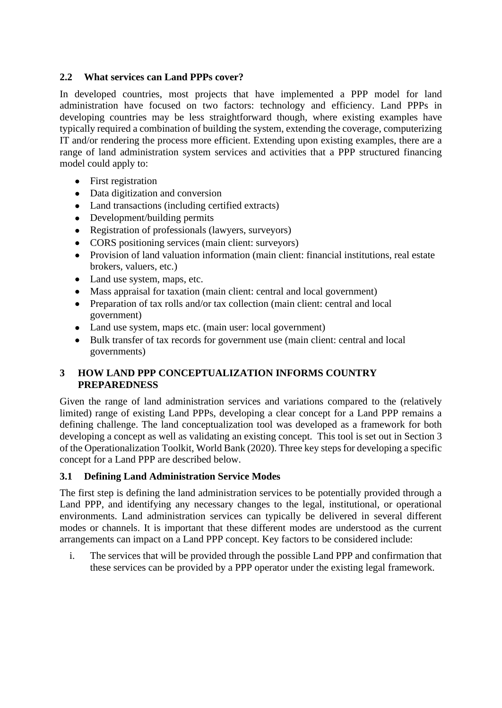### **2.2 What services can Land PPPs cover?**

In developed countries, most projects that have implemented a PPP model for land administration have focused on two factors: technology and efficiency. Land PPPs in developing countries may be less straightforward though, where existing examples have typically required a combination of building the system, extending the coverage, computerizing IT and/or rendering the process more efficient. Extending upon existing examples, there are a range of land administration system services and activities that a PPP structured financing model could apply to:

- First registration
- Data digitization and conversion
- Land transactions (including certified extracts)
- Development/building permits
- Registration of professionals (lawyers, surveyors)
- CORS positioning services (main client: surveyors)
- Provision of land valuation information (main client: financial institutions, real estate brokers, valuers, etc.)
- Land use system, maps, etc.
- Mass appraisal for taxation (main client: central and local government)
- Preparation of tax rolls and/or tax collection (main client: central and local government)
- Land use system, maps etc. (main user: local government)
- Bulk transfer of tax records for government use (main client: central and local governments)

# **3 HOW LAND PPP CONCEPTUALIZATION INFORMS COUNTRY PREPAREDNESS**

Given the range of land administration services and variations compared to the (relatively limited) range of existing Land PPPs, developing a clear concept for a Land PPP remains a defining challenge. The land conceptualization tool was developed as a framework for both developing a concept as well as validating an existing concept. This tool is set out in Section 3 of the Operationalization Toolkit, World Bank (2020). Three key steps for developing a specific concept for a Land PPP are described below.

### **3.1 Defining Land Administration Service Modes**

The first step is defining the land administration services to be potentially provided through a Land PPP, and identifying any necessary changes to the legal, institutional, or operational environments. Land administration services can typically be delivered in several different modes or channels. It is important that these different modes are understood as the current arrangements can impact on a Land PPP concept. Key factors to be considered include:

i. The services that will be provided through the possible Land PPP and confirmation that these services can be provided by a PPP operator under the existing legal framework.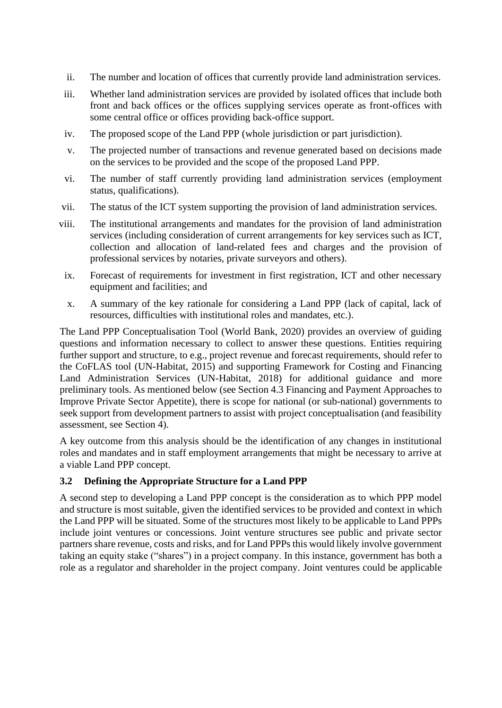- ii. The number and location of offices that currently provide land administration services.
- iii. Whether land administration services are provided by isolated offices that include both front and back offices or the offices supplying services operate as front-offices with some central office or offices providing back-office support.
- iv. The proposed scope of the Land PPP (whole jurisdiction or part jurisdiction).
- v. The projected number of transactions and revenue generated based on decisions made on the services to be provided and the scope of the proposed Land PPP.
- vi. The number of staff currently providing land administration services (employment status, qualifications).
- vii. The status of the ICT system supporting the provision of land administration services.
- viii. The institutional arrangements and mandates for the provision of land administration services (including consideration of current arrangements for key services such as ICT, collection and allocation of land-related fees and charges and the provision of professional services by notaries, private surveyors and others).
	- ix. Forecast of requirements for investment in first registration, ICT and other necessary equipment and facilities; and
	- x. A summary of the key rationale for considering a Land PPP (lack of capital, lack of resources, difficulties with institutional roles and mandates, etc.).

The Land PPP Conceptualisation Tool (World Bank, 2020) provides an overview of guiding questions and information necessary to collect to answer these questions. Entities requiring further support and structure, to e.g., project revenue and forecast requirements, should refer to the CoFLAS tool (UN-Habitat, 2015) and supporting Framework for Costing and Financing Land Administration Services (UN-Habitat, 2018) for additional guidance and more preliminary tools. As mentioned below (see Section 4.3 Financing and Payment Approaches to Improve Private Sector Appetite), there is scope for national (or sub-national) governments to seek support from development partners to assist with project conceptualisation (and feasibility assessment, see Section 4).

A key outcome from this analysis should be the identification of any changes in institutional roles and mandates and in staff employment arrangements that might be necessary to arrive at a viable Land PPP concept.

### **3.2 Defining the Appropriate Structure for a Land PPP**

A second step to developing a Land PPP concept is the consideration as to which PPP model and structure is most suitable, given the identified services to be provided and context in which the Land PPP will be situated. Some of the structures most likely to be applicable to Land PPPs include joint ventures or concessions. Joint venture structures see public and private sector partners share revenue, costs and risks, and for Land PPPs this would likely involve government taking an equity stake ("shares") in a project company. In this instance, government has both a role as a regulator and shareholder in the project company. Joint ventures could be applicable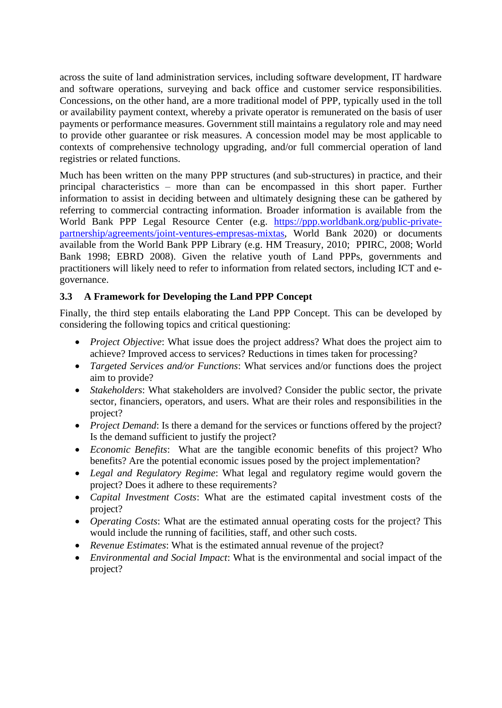across the suite of land administration services, including software development, IT hardware and software operations, surveying and back office and customer service responsibilities. Concessions, on the other hand, are a more traditional model of PPP, typically used in the toll or availability payment context, whereby a private operator is remunerated on the basis of user payments or performance measures. Government still maintains a regulatory role and may need to provide other guarantee or risk measures. A concession model may be most applicable to contexts of comprehensive technology upgrading, and/or full commercial operation of land registries or related functions.

Much has been written on the many PPP structures (and sub-structures) in practice, and their principal characteristics – more than can be encompassed in this short paper. Further information to assist in deciding between and ultimately designing these can be gathered by referring to commercial contracting information. Broader information is available from the World Bank PPP Legal Resource Center (e.g. [https://ppp.worldbank.org/public-private](https://ppp.worldbank.org/public-private-partnership/agreements/joint-ventures-empresas-mixtas)[partnership/agreements/joint-ventures-empresas-mixtas,](https://ppp.worldbank.org/public-private-partnership/agreements/joint-ventures-empresas-mixtas) World Bank 2020) or documents available from the World Bank PPP Library (e.g. HM Treasury, 2010; PPIRC, 2008; World Bank 1998; EBRD 2008). Given the relative youth of Land PPPs, governments and practitioners will likely need to refer to information from related sectors, including ICT and egovernance.

# **3.3 A Framework for Developing the Land PPP Concept**

Finally, the third step entails elaborating the Land PPP Concept. This can be developed by considering the following topics and critical questioning:

- *Project Objective*: What issue does the project address? What does the project aim to achieve? Improved access to services? Reductions in times taken for processing?
- *Targeted Services and/or Functions*: What services and/or functions does the project aim to provide?
- *Stakeholders*: What stakeholders are involved? Consider the public sector, the private sector, financiers, operators, and users. What are their roles and responsibilities in the project?
- *Project Demand*: Is there a demand for the services or functions offered by the project? Is the demand sufficient to justify the project?
- *Economic Benefits*: What are the tangible economic benefits of this project? Who benefits? Are the potential economic issues posed by the project implementation?
- *Legal and Regulatory Regime*: What legal and regulatory regime would govern the project? Does it adhere to these requirements?
- *Capital Investment Costs*: What are the estimated capital investment costs of the project?
- *Operating Costs*: What are the estimated annual operating costs for the project? This would include the running of facilities, staff, and other such costs.
- *Revenue Estimates*: What is the estimated annual revenue of the project?
- *Environmental and Social Impact*: What is the environmental and social impact of the project?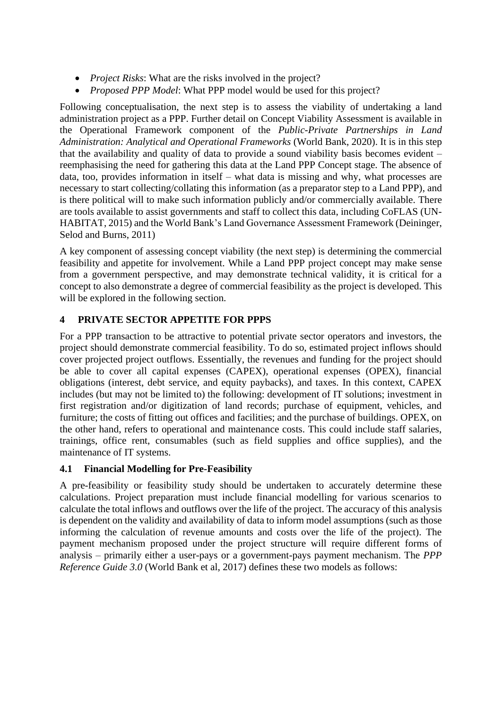- *Project Risks*: What are the risks involved in the project?
- *Proposed PPP Model*: What PPP model would be used for this project?

Following conceptualisation, the next step is to assess the viability of undertaking a land administration project as a PPP. Further detail on Concept Viability Assessment is available in the Operational Framework component of the *Public-Private Partnerships in Land Administration: Analytical and Operational Frameworks* (World Bank, 2020). It is in this step that the availability and quality of data to provide a sound viability basis becomes evident – reemphasising the need for gathering this data at the Land PPP Concept stage. The absence of data, too, provides information in itself – what data is missing and why, what processes are necessary to start collecting/collating this information (as a preparator step to a Land PPP), and is there political will to make such information publicly and/or commercially available. There are tools available to assist governments and staff to collect this data, including CoFLAS (UN-HABITAT, 2015) and the World Bank's Land Governance Assessment Framework (Deininger, Selod and Burns, 2011)

A key component of assessing concept viability (the next step) is determining the commercial feasibility and appetite for involvement. While a Land PPP project concept may make sense from a government perspective, and may demonstrate technical validity, it is critical for a concept to also demonstrate a degree of commercial feasibility as the project is developed. This will be explored in the following section.

# **4 PRIVATE SECTOR APPETITE FOR PPPS**

For a PPP transaction to be attractive to potential private sector operators and investors, the project should demonstrate commercial feasibility. To do so, estimated project inflows should cover projected project outflows. Essentially, the revenues and funding for the project should be able to cover all capital expenses (CAPEX), operational expenses (OPEX), financial obligations (interest, debt service, and equity paybacks), and taxes. In this context, CAPEX includes (but may not be limited to) the following: development of IT solutions; investment in first registration and/or digitization of land records; purchase of equipment, vehicles, and furniture; the costs of fitting out offices and facilities; and the purchase of buildings. OPEX, on the other hand, refers to operational and maintenance costs. This could include staff salaries, trainings, office rent, consumables (such as field supplies and office supplies), and the maintenance of IT systems.

### **4.1 Financial Modelling for Pre-Feasibility**

A pre-feasibility or feasibility study should be undertaken to accurately determine these calculations. Project preparation must include financial modelling for various scenarios to calculate the total inflows and outflows over the life of the project. The accuracy of this analysis is dependent on the validity and availability of data to inform model assumptions (such as those informing the calculation of revenue amounts and costs over the life of the project). The payment mechanism proposed under the project structure will require different forms of analysis – primarily either a user-pays or a government-pays payment mechanism. The *PPP Reference Guide 3.0* (World Bank et al, 2017) defines these two models as follows: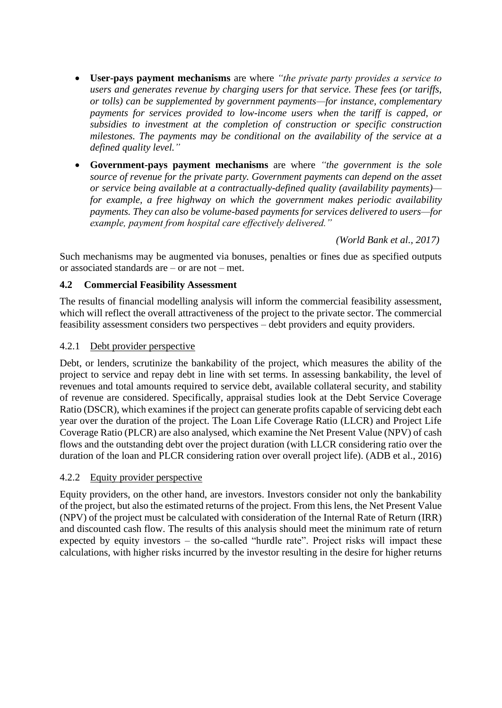- **User-pays payment mechanisms** are where *"the private party provides a service to users and generates revenue by charging users for that service. These fees (or tariffs, or tolls) can be supplemented by government payments—for instance, complementary payments for services provided to low-income users when the tariff is capped, or subsidies to investment at the completion of construction or specific construction milestones. The payments may be conditional on the availability of the service at a defined quality level."*
- **Government-pays payment mechanisms** are where *"the government is the sole source of revenue for the private party. Government payments can depend on the asset or service being available at a contractually-defined quality (availability payments) for example, a free highway on which the government makes periodic availability payments. They can also be volume-based payments for services delivered to users—for example, payment from hospital care effectively delivered."*

 *(World Bank et al., 2017)*

Such mechanisms may be augmented via bonuses, penalties or fines due as specified outputs or associated standards are – or are not – met.

#### **4.2 Commercial Feasibility Assessment**

The results of financial modelling analysis will inform the commercial feasibility assessment, which will reflect the overall attractiveness of the project to the private sector. The commercial feasibility assessment considers two perspectives – debt providers and equity providers.

#### 4.2.1 Debt provider perspective

Debt, or lenders, scrutinize the bankability of the project, which measures the ability of the project to service and repay debt in line with set terms. In assessing bankability, the level of revenues and total amounts required to service debt, available collateral security, and stability of revenue are considered. Specifically, appraisal studies look at the Debt Service Coverage Ratio (DSCR), which examines if the project can generate profits capable of servicing debt each year over the duration of the project. The Loan Life Coverage Ratio (LLCR) and Project Life Coverage Ratio (PLCR) are also analysed, which examine the Net Present Value (NPV) of cash flows and the outstanding debt over the project duration (with LLCR considering ratio over the duration of the loan and PLCR considering ration over overall project life). (ADB et al., 2016)

#### 4.2.2 Equity provider perspective

Equity providers, on the other hand, are investors. Investors consider not only the bankability of the project, but also the estimated returns of the project. From this lens, the Net Present Value (NPV) of the project must be calculated with consideration of the Internal Rate of Return (IRR) and discounted cash flow. The results of this analysis should meet the minimum rate of return expected by equity investors – the so-called "hurdle rate". Project risks will impact these calculations, with higher risks incurred by the investor resulting in the desire for higher returns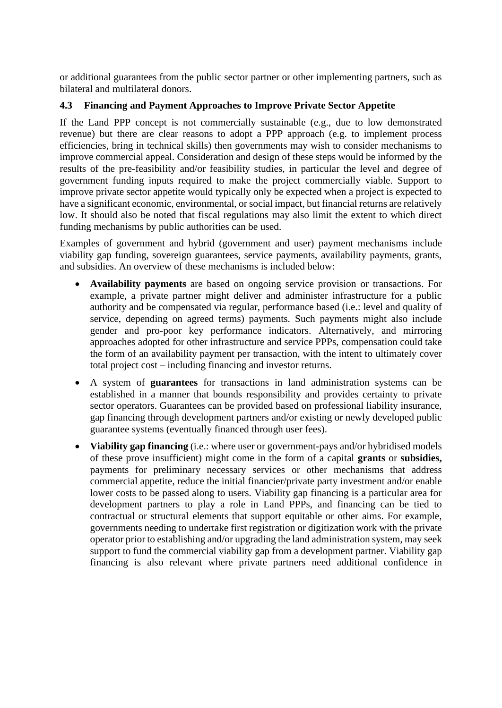or additional guarantees from the public sector partner or other implementing partners, such as bilateral and multilateral donors.

### **4.3 Financing and Payment Approaches to Improve Private Sector Appetite**

If the Land PPP concept is not commercially sustainable (e.g., due to low demonstrated revenue) but there are clear reasons to adopt a PPP approach (e.g. to implement process efficiencies, bring in technical skills) then governments may wish to consider mechanisms to improve commercial appeal. Consideration and design of these steps would be informed by the results of the pre-feasibility and/or feasibility studies, in particular the level and degree of government funding inputs required to make the project commercially viable. Support to improve private sector appetite would typically only be expected when a project is expected to have a significant economic, environmental, or social impact, but financial returns are relatively low. It should also be noted that fiscal regulations may also limit the extent to which direct funding mechanisms by public authorities can be used.

Examples of government and hybrid (government and user) payment mechanisms include viability gap funding, sovereign guarantees, service payments, availability payments, grants, and subsidies. An overview of these mechanisms is included below:

- **Availability payments** are based on ongoing service provision or transactions. For example, a private partner might deliver and administer infrastructure for a public authority and be compensated via regular, performance based (i.e.: level and quality of service, depending on agreed terms) payments. Such payments might also include gender and pro-poor key performance indicators. Alternatively, and mirroring approaches adopted for other infrastructure and service PPPs, compensation could take the form of an availability payment per transaction, with the intent to ultimately cover total project cost – including financing and investor returns.
- A system of **guarantees** for transactions in land administration systems can be established in a manner that bounds responsibility and provides certainty to private sector operators. Guarantees can be provided based on professional liability insurance, gap financing through development partners and/or existing or newly developed public guarantee systems (eventually financed through user fees).
- **Viability gap financing** (i.e.: where user or government-pays and/or hybridised models of these prove insufficient) might come in the form of a capital **grants** or **subsidies,** payments for preliminary necessary services or other mechanisms that address commercial appetite, reduce the initial financier/private party investment and/or enable lower costs to be passed along to users. Viability gap financing is a particular area for development partners to play a role in Land PPPs, and financing can be tied to contractual or structural elements that support equitable or other aims. For example, governments needing to undertake first registration or digitization work with the private operator prior to establishing and/or upgrading the land administration system, may seek support to fund the commercial viability gap from a development partner. Viability gap financing is also relevant where private partners need additional confidence in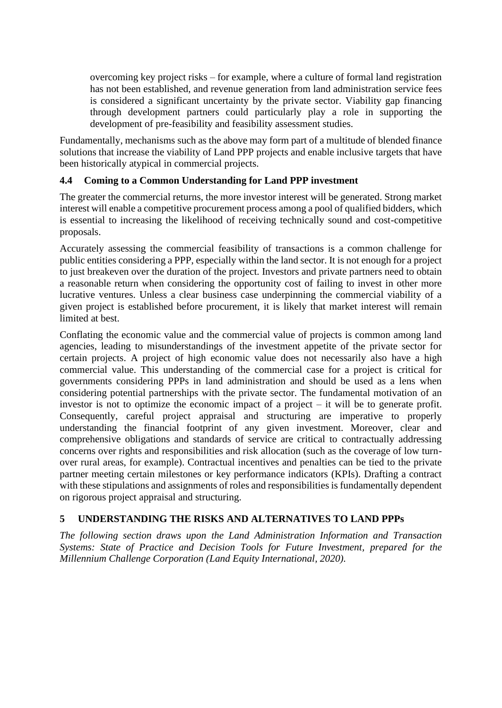overcoming key project risks – for example, where a culture of formal land registration has not been established, and revenue generation from land administration service fees is considered a significant uncertainty by the private sector. Viability gap financing through development partners could particularly play a role in supporting the development of pre-feasibility and feasibility assessment studies.

Fundamentally, mechanisms such as the above may form part of a multitude of blended finance solutions that increase the viability of Land PPP projects and enable inclusive targets that have been historically atypical in commercial projects.

# **4.4 Coming to a Common Understanding for Land PPP investment**

The greater the commercial returns, the more investor interest will be generated. Strong market interest will enable a competitive procurement process among a pool of qualified bidders, which is essential to increasing the likelihood of receiving technically sound and cost-competitive proposals.

Accurately assessing the commercial feasibility of transactions is a common challenge for public entities considering a PPP, especially within the land sector. It is not enough for a project to just breakeven over the duration of the project. Investors and private partners need to obtain a reasonable return when considering the opportunity cost of failing to invest in other more lucrative ventures. Unless a clear business case underpinning the commercial viability of a given project is established before procurement, it is likely that market interest will remain limited at best.

Conflating the economic value and the commercial value of projects is common among land agencies, leading to misunderstandings of the investment appetite of the private sector for certain projects. A project of high economic value does not necessarily also have a high commercial value. This understanding of the commercial case for a project is critical for governments considering PPPs in land administration and should be used as a lens when considering potential partnerships with the private sector. The fundamental motivation of an investor is not to optimize the economic impact of a project – it will be to generate profit. Consequently, careful project appraisal and structuring are imperative to properly understanding the financial footprint of any given investment. Moreover, clear and comprehensive obligations and standards of service are critical to contractually addressing concerns over rights and responsibilities and risk allocation (such as the coverage of low turnover rural areas, for example). Contractual incentives and penalties can be tied to the private partner meeting certain milestones or key performance indicators (KPIs). Drafting a contract with these stipulations and assignments of roles and responsibilities is fundamentally dependent on rigorous project appraisal and structuring.

# **5 UNDERSTANDING THE RISKS AND ALTERNATIVES TO LAND PPPs**

*The following section draws upon the Land Administration Information and Transaction Systems: State of Practice and Decision Tools for Future Investment, prepared for the Millennium Challenge Corporation (Land Equity International, 2020).*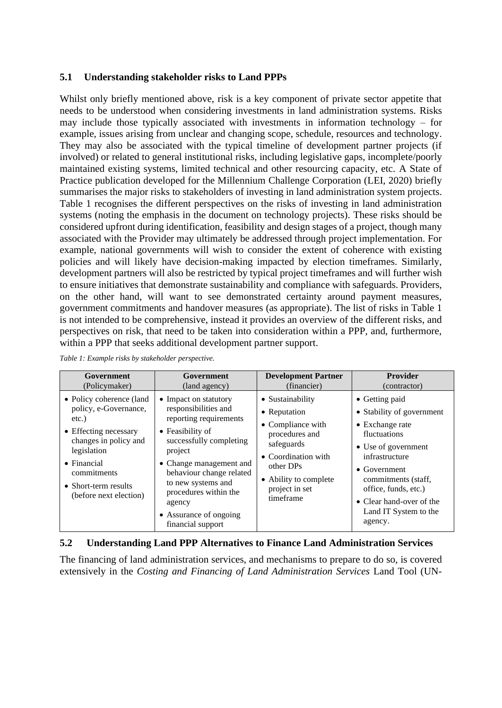#### **5.1 Understanding stakeholder risks to Land PPPs**

Whilst only briefly mentioned above, risk is a key component of private sector appetite that needs to be understood when considering investments in land administration systems. Risks may include those typically associated with investments in information technology – for example, issues arising from unclear and changing scope, schedule, resources and technology. They may also be associated with the typical timeline of development partner projects (if involved) or related to general institutional risks, including legislative gaps, incomplete/poorly maintained existing systems, limited technical and other resourcing capacity, etc. A State of Practice publication developed for the Millennium Challenge Corporation (LEI, 2020) briefly summarises the major risks to stakeholders of investing in land administration system projects. [Table](#page-11-0) 1 recognises the different perspectives on the risks of investing in land administration systems (noting the emphasis in the document on technology projects). These risks should be considered upfront during identification, feasibility and design stages of a project, though many associated with the Provider may ultimately be addressed through project implementation. For example, national governments will wish to consider the extent of coherence with existing policies and will likely have decision-making impacted by election timeframes. Similarly, development partners will also be restricted by typical project timeframes and will further wish to ensure initiatives that demonstrate sustainability and compliance with safeguards. Providers, on the other hand, will want to see demonstrated certainty around payment measures, government commitments and handover measures (as appropriate). The list of risks in Table 1 is not intended to be comprehensive, instead it provides an overview of the different risks, and perspectives on risk, that need to be taken into consideration within a PPP, and, furthermore, within a PPP that seeks additional development partner support.

<span id="page-11-0"></span>

| Government                                                                                                                                                                                                             | Government                                                                                                                                                                                                                                                                                       | <b>Development Partner</b>                                                                                                                                                        | <b>Provider</b>                                                                                                                                                                                                                                                        |
|------------------------------------------------------------------------------------------------------------------------------------------------------------------------------------------------------------------------|--------------------------------------------------------------------------------------------------------------------------------------------------------------------------------------------------------------------------------------------------------------------------------------------------|-----------------------------------------------------------------------------------------------------------------------------------------------------------------------------------|------------------------------------------------------------------------------------------------------------------------------------------------------------------------------------------------------------------------------------------------------------------------|
| (Policymaker)                                                                                                                                                                                                          | (land agency)                                                                                                                                                                                                                                                                                    | (financier)                                                                                                                                                                       | (contractor)                                                                                                                                                                                                                                                           |
| • Policy coherence (land<br>policy, e-Governance,<br>$etc.$ )<br>• Effecting necessary<br>changes in policy and<br>legislation<br>$\bullet$ Financial<br>commitments<br>• Short-term results<br>(before next election) | • Impact on statutory<br>responsibilities and<br>reporting requirements<br>• Feasibility of<br>successfully completing<br>project<br>• Change management and<br>behaviour change related<br>to new systems and<br>procedures within the<br>agency<br>• Assurance of ongoing<br>financial support | • Sustainability<br>• Reputation<br>• Compliance with<br>procedures and<br>safeguards<br>• Coordination with<br>other DPs<br>• Ability to complete<br>project in set<br>timeframe | • Getting paid<br>• Stability of government<br>$\bullet$ Exchange rate<br>fluctuations<br>• Use of government<br>infrastructure<br>$\bullet$ Government<br>commitments (staff,<br>office, funds, etc.)<br>• Clear hand-over of the<br>Land IT System to the<br>agency. |

### **5.2 Understanding Land PPP Alternatives to Finance Land Administration Services**

The financing of land administration services, and mechanisms to prepare to do so, is covered extensively in the *Costing and Financing of Land Administration Services* Land Tool (UN-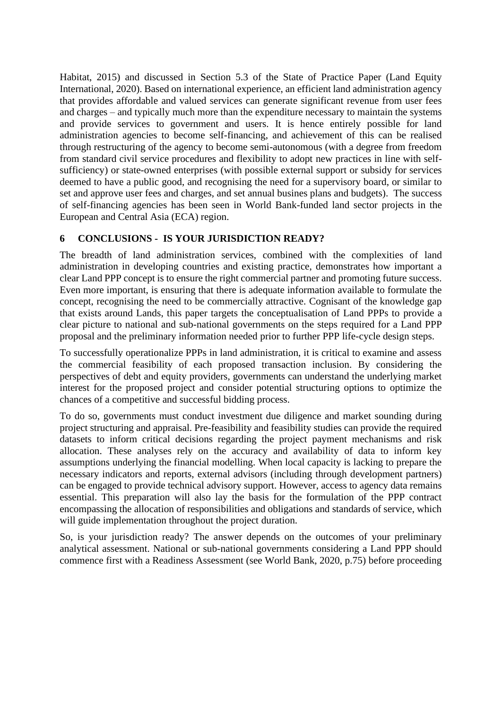Habitat, 2015) and discussed in Section 5.3 of the State of Practice Paper (Land Equity International, 2020). Based on international experience, an efficient land administration agency that provides affordable and valued services can generate significant revenue from user fees and charges – and typically much more than the expenditure necessary to maintain the systems and provide services to government and users. It is hence entirely possible for land administration agencies to become self-financing, and achievement of this can be realised through restructuring of the agency to become semi-autonomous (with a degree from freedom from standard civil service procedures and flexibility to adopt new practices in line with selfsufficiency) or state-owned enterprises (with possible external support or subsidy for services deemed to have a public good, and recognising the need for a supervisory board, or similar to set and approve user fees and charges, and set annual busines plans and budgets). The success of self-financing agencies has been seen in World Bank-funded land sector projects in the European and Central Asia (ECA) region.

# **6 CONCLUSIONS - IS YOUR JURISDICTION READY?**

The breadth of land administration services, combined with the complexities of land administration in developing countries and existing practice, demonstrates how important a clear Land PPP concept is to ensure the right commercial partner and promoting future success. Even more important, is ensuring that there is adequate information available to formulate the concept, recognising the need to be commercially attractive. Cognisant of the knowledge gap that exists around Lands, this paper targets the conceptualisation of Land PPPs to provide a clear picture to national and sub-national governments on the steps required for a Land PPP proposal and the preliminary information needed prior to further PPP life-cycle design steps.

To successfully operationalize PPPs in land administration, it is critical to examine and assess the commercial feasibility of each proposed transaction inclusion. By considering the perspectives of debt and equity providers, governments can understand the underlying market interest for the proposed project and consider potential structuring options to optimize the chances of a competitive and successful bidding process.

To do so, governments must conduct investment due diligence and market sounding during project structuring and appraisal. Pre-feasibility and feasibility studies can provide the required datasets to inform critical decisions regarding the project payment mechanisms and risk allocation. These analyses rely on the accuracy and availability of data to inform key assumptions underlying the financial modelling. When local capacity is lacking to prepare the necessary indicators and reports, external advisors (including through development partners) can be engaged to provide technical advisory support. However, access to agency data remains essential. This preparation will also lay the basis for the formulation of the PPP contract encompassing the allocation of responsibilities and obligations and standards of service, which will guide implementation throughout the project duration.

So, is your jurisdiction ready? The answer depends on the outcomes of your preliminary analytical assessment. National or sub-national governments considering a Land PPP should commence first with a Readiness Assessment (see World Bank, 2020, p.75) before proceeding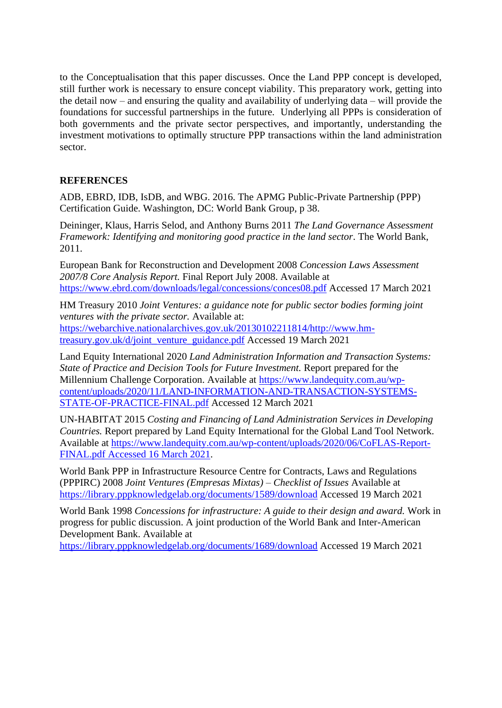to the Conceptualisation that this paper discusses. Once the Land PPP concept is developed, still further work is necessary to ensure concept viability. This preparatory work, getting into the detail now – and ensuring the quality and availability of underlying data – will provide the foundations for successful partnerships in the future. Underlying all PPPs is consideration of both governments and the private sector perspectives, and importantly, understanding the investment motivations to optimally structure PPP transactions within the land administration sector.

# **REFERENCES**

ADB, EBRD, IDB, IsDB, and WBG. 2016. The APMG Public-Private Partnership (PPP) Certification Guide. Washington, DC: World Bank Group, p 38.

Deininger, Klaus, Harris Selod, and Anthony Burns 2011 *The Land Governance Assessment Framework: Identifying and monitoring good practice in the land sector*. The World Bank, 2011.

European Bank for Reconstruction and Development 2008 *Concession Laws Assessment 2007/8 Core Analysis Report.* Final Report July 2008. Available at <https://www.ebrd.com/downloads/legal/concessions/conces08.pdf> Accessed 17 March 2021

HM Treasury 2010 *Joint Ventures: a guidance note for public sector bodies forming joint ventures with the private sector.* Available at: [https://webarchive.nationalarchives.gov.uk/20130102211814/http://www.hm](https://webarchive.nationalarchives.gov.uk/20130102211814/http:/www.hm-treasury.gov.uk/d/joint_venture_guidance.pdf)[treasury.gov.uk/d/joint\\_venture\\_guidance.pdf](https://webarchive.nationalarchives.gov.uk/20130102211814/http:/www.hm-treasury.gov.uk/d/joint_venture_guidance.pdf) Accessed 19 March 2021

Land Equity International 2020 *Land Administration Information and Transaction Systems: State of Practice and Decision Tools for Future Investment.* Report prepared for the Millennium Challenge Corporation. Available at [https://www.landequity.com.au/wp](https://www.landequity.com.au/wp-content/uploads/2020/11/LAND-INFORMATION-AND-TRANSACTION-SYSTEMS-STATE-OF-PRACTICE-FINAL.pdf)[content/uploads/2020/11/LAND-INFORMATION-AND-TRANSACTION-SYSTEMS-](https://www.landequity.com.au/wp-content/uploads/2020/11/LAND-INFORMATION-AND-TRANSACTION-SYSTEMS-STATE-OF-PRACTICE-FINAL.pdf)[STATE-OF-PRACTICE-FINAL.pdf](https://www.landequity.com.au/wp-content/uploads/2020/11/LAND-INFORMATION-AND-TRANSACTION-SYSTEMS-STATE-OF-PRACTICE-FINAL.pdf) Accessed 12 March 2021

UN-HABITAT 2015 *Costing and Financing of Land Administration Services in Developing Countries.* Report prepared by Land Equity International for the Global Land Tool Network. Available at [https://www.landequity.com.au/wp-content/uploads/2020/06/CoFLAS-Report-](https://www.landequity.com.au/wp-content/uploads/2020/06/CoFLAS-Report-FINAL.pdf%20Accessed%2016%20March%202021)[FINAL.pdf Accessed 16 March 2021.](https://www.landequity.com.au/wp-content/uploads/2020/06/CoFLAS-Report-FINAL.pdf%20Accessed%2016%20March%202021)

World Bank PPP in Infrastructure Resource Centre for Contracts, Laws and Regulations (PPPIRC) 2008 *Joint Ventures (Empresas Mixtas) – Checklist of Issues* Available at <https://library.pppknowledgelab.org/documents/1589/download> Accessed 19 March 2021

World Bank 1998 *Concessions for infrastructure: A guide to their design and award.* Work in progress for public discussion. A joint production of the World Bank and Inter-American Development Bank. Available at

<https://library.pppknowledgelab.org/documents/1689/download> Accessed 19 March 2021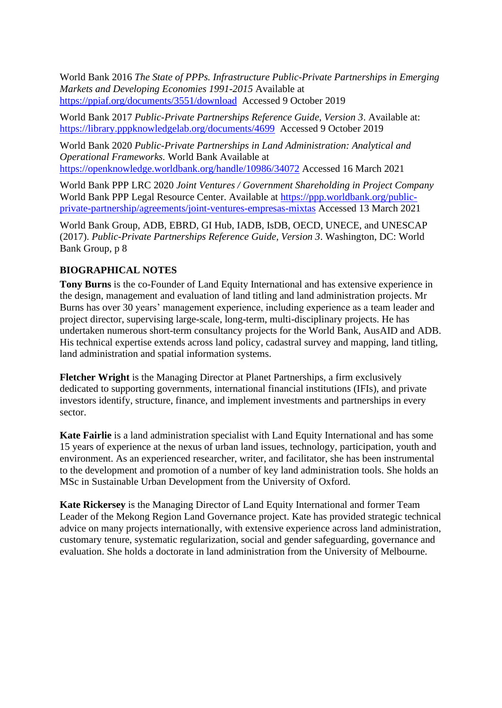World Bank 2016 *The State of PPPs. Infrastructure Public-Private Partnerships in Emerging Markets and Developing Economies 1991-2015* Available at <https://ppiaf.org/documents/3551/download>Accessed 9 October 2019

World Bank 2017 *Public-Private Partnerships Reference Guide, Version 3*. Available at: <https://library.pppknowledgelab.org/documents/4699>Accessed 9 October 2019

World Bank 2020 *Public-Private Partnerships in Land Administration: Analytical and Operational Frameworks.* World Bank Available at <https://openknowledge.worldbank.org/handle/10986/34072> Accessed 16 March 2021

World Bank PPP LRC 2020 *Joint Ventures / Government Shareholding in Project Company*  World Bank PPP Legal Resource Center. Available at [https://ppp.worldbank.org/public](https://ppp.worldbank.org/public-private-partnership/agreements/joint-ventures-empresas-mixtas)[private-partnership/agreements/joint-ventures-empresas-mixtas](https://ppp.worldbank.org/public-private-partnership/agreements/joint-ventures-empresas-mixtas) Accessed 13 March 2021

World Bank Group, ADB, EBRD, GI Hub, IADB, IsDB, OECD, UNECE, and UNESCAP (2017). *Public-Private Partnerships Reference Guide, Version 3*. Washington, DC: World Bank Group, p 8

# **BIOGRAPHICAL NOTES**

**Tony Burns** is the co-Founder of Land Equity International and has extensive experience in the design, management and evaluation of land titling and land administration projects. Mr Burns has over 30 years' management experience, including experience as a team leader and project director, supervising large-scale, long-term, multi-disciplinary projects. He has undertaken numerous short-term consultancy projects for the World Bank, AusAID and ADB. His technical expertise extends across land policy, cadastral survey and mapping, land titling, land administration and spatial information systems.

**Fletcher Wright** is the Managing Director at Planet Partnerships, a firm exclusively dedicated to supporting governments, international financial institutions (IFIs), and private investors identify, structure, finance, and implement investments and partnerships in every sector.

**Kate Fairlie** is a land administration specialist with Land Equity International and has some 15 years of experience at the nexus of urban land issues, technology, participation, youth and environment. As an experienced researcher, writer, and facilitator, she has been instrumental to the development and promotion of a number of key land administration tools. She holds an MSc in Sustainable Urban Development from the University of Oxford.

**Kate Rickersey** is the Managing Director of Land Equity International and former Team Leader of the Mekong Region Land Governance project. Kate has provided strategic technical advice on many projects internationally, with extensive experience across land administration, customary tenure, systematic regularization, social and gender safeguarding, governance and evaluation. She holds a doctorate in land administration from the University of Melbourne.